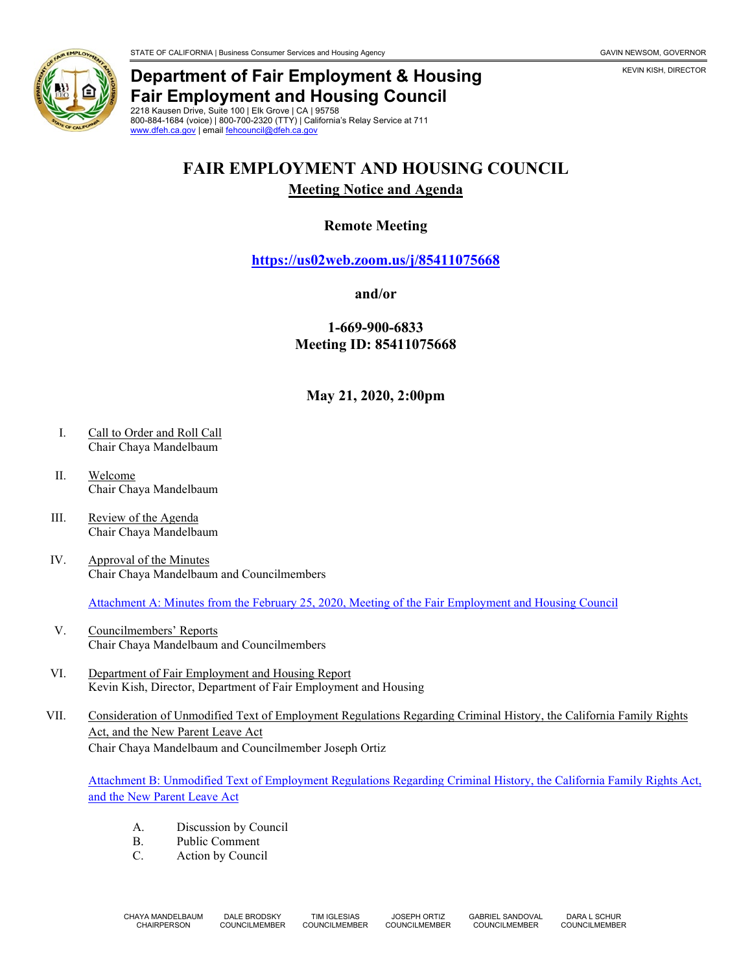

## **Department of Fair Employment & Housing Fair Employment and Housing Council**

2218 Kausen Drive, Suite 100 | Elk Grove | CA | 95758 800-884-1684 (voice) | 800-700-2320 (TTY) | California's Relay Service at 711 [www.dfeh.ca.gov](https://www.dfeh.ca.gov/) | email [fehcouncil@dfeh.ca.gov](mailto:fehcouncil@dfeh.ca.gov)

# **FAIR EMPLOYMENT AND HOUSING COUNCIL**

#### **Meeting Notice and Agenda**

### **Remote Meeting**

**<https://us02web.zoom.us/j/85411075668>**

#### **and/or**

**1-669-900-6833 Meeting ID: 85411075668**

**May 21, 2020, 2:00pm**

- I. Call to Order and Roll Call Chair Chaya Mandelbaum
- II. Welcome Chair Chaya Mandelbaum
- III. Review of the Agenda Chair Chaya Mandelbaum
- IV. Approval of the Minutes Chair Chaya Mandelbaum and Councilmembers

Attachment A: Minutes from the February [25, 2020, Meeting of the Fair Employment and Housing Council](https://www.dfeh.ca.gov/wp-content/uploads/sites/32/2020/05/AttachA-FEHCMinutes2020Feb25.pdf)

- V. Councilmembers' Reports Chair Chaya Mandelbaum and Councilmembers
- VI. Department of Fair Employment and Housing Report Kevin Kish, Director, Department of Fair Employment and Housing
- VII. Consideration of Unmodified Text of Employment Regulations Regarding Criminal History, the California Family Rights Act, and the New Parent Leave Act Chair Chaya Mandelbaum and Councilmember Joseph Ortiz

[Attachment B: Unmodified Text of Employment Regulations Regarding Criminal History, the California Family Rights Act,](https://www.dfeh.ca.gov/wp-content/uploads/sites/32/2020/05/Attach-B-Unmodified-extEmployRegCriminalHistory-CFRA-NewPLA.pdf)  [and the New Parent Leave Act](https://www.dfeh.ca.gov/wp-content/uploads/sites/32/2020/05/Attach-B-Unmodified-extEmployRegCriminalHistory-CFRA-NewPLA.pdf)

- A. Discussion by Council
- B. Public Comment
- C. Action by Council